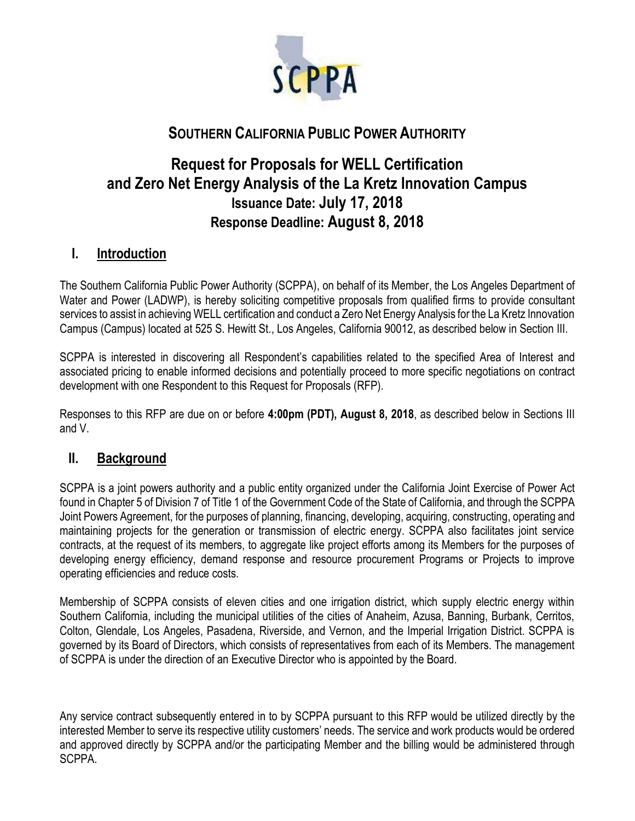

# **SOUTHERN CALIFORNIA PUBLIC POWER AUTHORITY**

# **Request for Proposals for WELL Certification and Zero Net Energy Analysis of the La Kretz Innovation Campus Issuance Date: July 17, 2018 Response Deadline: August 8, 2018**

## **I. Introduction**

The Southern California Public Power Authority (SCPPA), on behalf of its Member, the Los Angeles Department of Water and Power (LADWP), is hereby soliciting competitive proposals from qualified firms to provide consultant services to assist in achieving WELL certification and conduct a Zero Net Energy Analysis for the La Kretz Innovation Campus (Campus) located at 525 S. Hewitt St., Los Angeles, California 90012, as described below in Section III.

SCPPA is interested in discovering all Respondent's capabilities related to the specified Area of Interest and associated pricing to enable informed decisions and potentially proceed to more specific negotiations on contract development with one Respondent to this Request for Proposals (RFP).

Responses to this RFP are due on or before **4:00pm (PDT), August 8, 2018**, as described below in Sections III and V.

## **II. Background**

SCPPA is a joint powers authority and a public entity organized under the California Joint Exercise of Power Act found in Chapter 5 of Division 7 of Title 1 of the Government Code of the State of California, and through the SCPPA Joint Powers Agreement, for the purposes of planning, financing, developing, acquiring, constructing, operating and maintaining projects for the generation or transmission of electric energy. SCPPA also facilitates joint service contracts, at the request of its members, to aggregate like project efforts among its Members for the purposes of developing energy efficiency, demand response and resource procurement Programs or Projects to improve operating efficiencies and reduce costs.

Membership of SCPPA consists of eleven cities and one irrigation district, which supply electric energy within Southern California, including the municipal utilities of the cities of Anaheim, Azusa, Banning, Burbank, Cerritos, Colton, Glendale, Los Angeles, Pasadena, Riverside, and Vernon, and the Imperial Irrigation District. SCPPA is governed by its Board of Directors, which consists of representatives from each of its Members. The management of SCPPA is under the direction of an Executive Director who is appointed by the Board.

Any service contract subsequently entered in to by SCPPA pursuant to this RFP would be utilized directly by the interested Member to serve its respective utility customers' needs. The service and work products would be ordered and approved directly by SCPPA and/or the participating Member and the billing would be administered through SCPPA.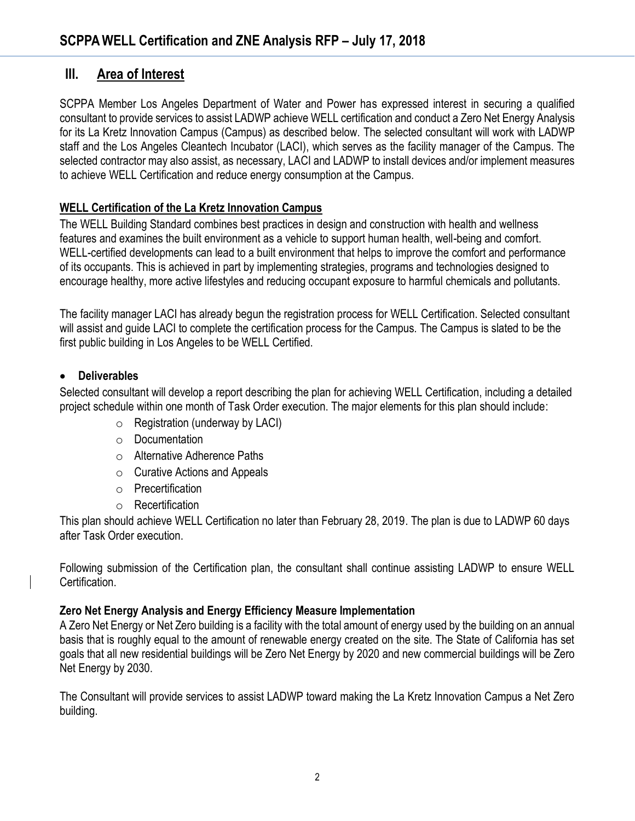## **III. Area of Interest**

SCPPA Member Los Angeles Department of Water and Power has expressed interest in securing a qualified consultant to provide services to assist LADWP achieve WELL certification and conduct a Zero Net Energy Analysis for its La Kretz Innovation Campus (Campus) as described below. The selected consultant will work with LADWP staff and the Los Angeles Cleantech Incubator (LACI), which serves as the facility manager of the Campus. The selected contractor may also assist, as necessary, LACI and LADWP to install devices and/or implement measures to achieve WELL Certification and reduce energy consumption at the Campus.

### **WELL Certification of the La Kretz Innovation Campus**

The WELL Building Standard combines best practices in design and construction with health and wellness features and examines the built environment as a vehicle to support human health, well-being and comfort. WELL-certified developments can lead to a built environment that helps to improve the comfort and performance of its occupants. This is achieved in part by implementing strategies, programs and technologies designed to encourage healthy, more active lifestyles and reducing occupant exposure to harmful chemicals and pollutants.

The facility manager LACI has already begun the registration process for WELL Certification. Selected consultant will assist and guide LACI to complete the certification process for the Campus. The Campus is slated to be the first public building in Los Angeles to be WELL Certified.

### • **Deliverables**

Selected consultant will develop a report describing the plan for achieving WELL Certification, including a detailed project schedule within one month of Task Order execution. The major elements for this plan should include:

- $\circ$  Registration (underway by LACI)
- o Documentation
- o Alternative Adherence Paths
- $\circ$  Curative Actions and Appeals
- o Precertification
- o Recertification

This plan should achieve WELL Certification no later than February 28, 2019. The plan is due to LADWP 60 days after Task Order execution.

Following submission of the Certification plan, the consultant shall continue assisting LADWP to ensure WELL Certification.

### **Zero Net Energy Analysis and Energy Efficiency Measure Implementation**

A Zero Net Energy or Net Zero building is a facility with the total amount of energy used by the building on an annual basis that is roughly equal to the amount of renewable energy created on the site. The State of California has set goals that all new residential buildings will be Zero Net Energy by 2020 and new commercial buildings will be Zero Net Energy by 2030.

The Consultant will provide services to assist LADWP toward making the La Kretz Innovation Campus a Net Zero building.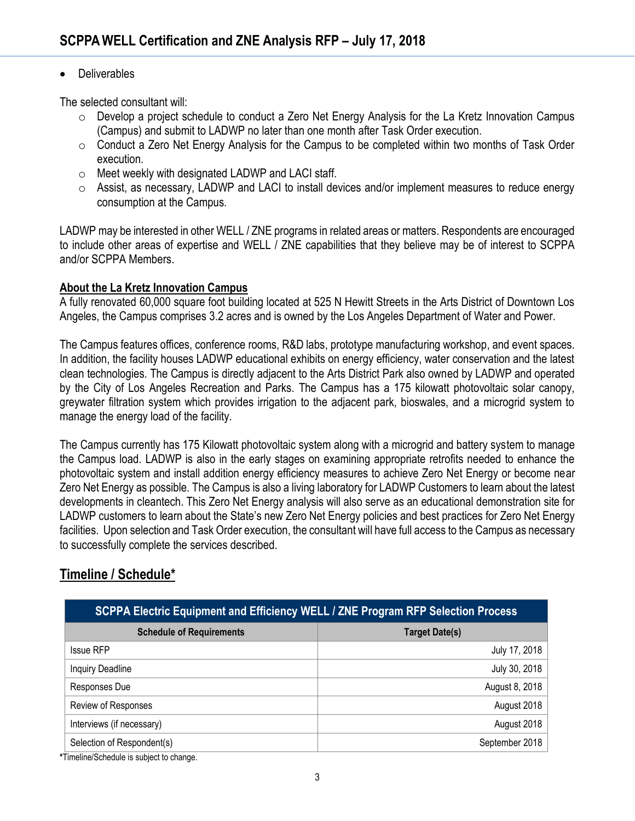#### • Deliverables

The selected consultant will:

- o Develop a project schedule to conduct a Zero Net Energy Analysis for the La Kretz Innovation Campus (Campus) and submit to LADWP no later than one month after Task Order execution.
- $\circ$  Conduct a Zero Net Energy Analysis for the Campus to be completed within two months of Task Order execution.
- o Meet weekly with designated LADWP and LACI staff.
- o Assist, as necessary, LADWP and LACI to install devices and/or implement measures to reduce energy consumption at the Campus.

LADWP may be interested in other WELL / ZNE programs in related areas or matters. Respondents are encouraged to include other areas of expertise and WELL / ZNE capabilities that they believe may be of interest to SCPPA and/or SCPPA Members.

#### **About the La Kretz Innovation Campus**

A fully renovated 60,000 square foot building located at 525 N Hewitt Streets in the Arts District of Downtown Los Angeles, the Campus comprises 3.2 acres and is owned by the Los Angeles Department of Water and Power.

The Campus features offices, conference rooms, R&D labs, prototype manufacturing workshop, and event spaces. In addition, the facility houses LADWP educational exhibits on energy efficiency, water conservation and the latest clean technologies. The Campus is directly adjacent to the Arts District Park also owned by LADWP and operated by the City of Los Angeles Recreation and Parks. The Campus has a 175 kilowatt photovoltaic solar canopy, greywater filtration system which provides irrigation to the adjacent park, bioswales, and a microgrid system to manage the energy load of the facility.

The Campus currently has 175 Kilowatt photovoltaic system along with a microgrid and battery system to manage the Campus load. LADWP is also in the early stages on examining appropriate retrofits needed to enhance the photovoltaic system and install addition energy efficiency measures to achieve Zero Net Energy or become near Zero Net Energy as possible. The Campus is also a living laboratory for LADWP Customers to learn about the latest developments in cleantech. This Zero Net Energy analysis will also serve as an educational demonstration site for LADWP customers to learn about the State's new Zero Net Energy policies and best practices for Zero Net Energy facilities. Upon selection and Task Order execution, the consultant will have full access to the Campus as necessary to successfully complete the services described.

## **Timeline / Schedule\***

| <b>SCPPA Electric Equipment and Efficiency WELL / ZNE Program RFP Selection Process</b> |                       |
|-----------------------------------------------------------------------------------------|-----------------------|
| <b>Schedule of Requirements</b>                                                         | <b>Target Date(s)</b> |
| <b>Issue RFP</b>                                                                        | July 17, 2018         |
| <b>Inquiry Deadline</b>                                                                 | July 30, 2018         |
| Responses Due                                                                           | August 8, 2018        |
| Review of Responses                                                                     | August 2018           |
| Interviews (if necessary)                                                               | August 2018           |
| Selection of Respondent(s)                                                              | September 2018        |

**\***Timeline/Schedule is subject to change.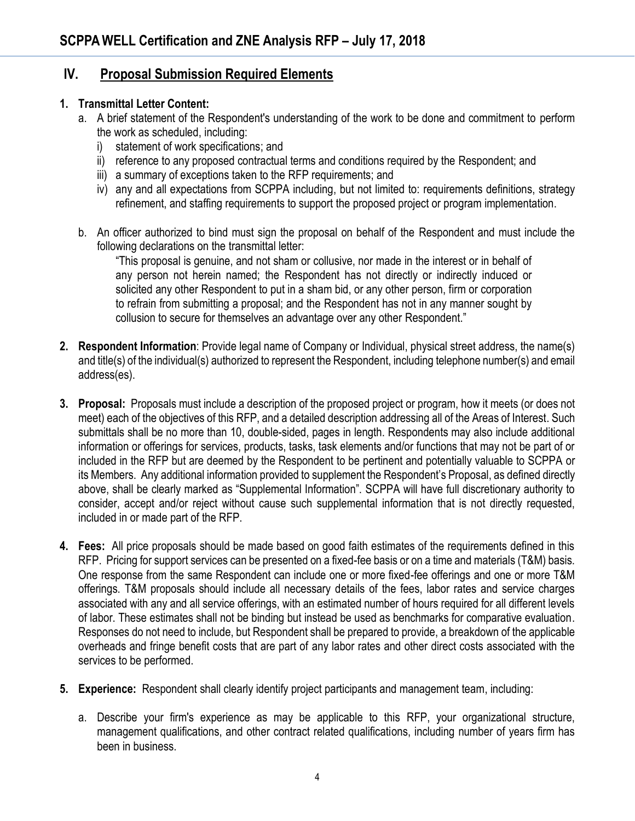### **IV. Proposal Submission Required Elements**

#### **1. Transmittal Letter Content:**

- a. A brief statement of the Respondent's understanding of the work to be done and commitment to perform the work as scheduled, including:
	- i) statement of work specifications; and
	- ii) reference to any proposed contractual terms and conditions required by the Respondent; and
	- iii) a summary of exceptions taken to the RFP requirements; and
	- iv) any and all expectations from SCPPA including, but not limited to: requirements definitions, strategy refinement, and staffing requirements to support the proposed project or program implementation.
- b. An officer authorized to bind must sign the proposal on behalf of the Respondent and must include the following declarations on the transmittal letter:

"This proposal is genuine, and not sham or collusive, nor made in the interest or in behalf of any person not herein named; the Respondent has not directly or indirectly induced or solicited any other Respondent to put in a sham bid, or any other person, firm or corporation to refrain from submitting a proposal; and the Respondent has not in any manner sought by collusion to secure for themselves an advantage over any other Respondent."

- **2. Respondent Information**: Provide legal name of Company or Individual, physical street address, the name(s) and title(s) of the individual(s) authorized to represent the Respondent, including telephone number(s) and email address(es).
- **3. Proposal:** Proposals must include a description of the proposed project or program, how it meets (or does not meet) each of the objectives of this RFP, and a detailed description addressing all of the Areas of Interest. Such submittals shall be no more than 10, double-sided, pages in length. Respondents may also include additional information or offerings for services, products, tasks, task elements and/or functions that may not be part of or included in the RFP but are deemed by the Respondent to be pertinent and potentially valuable to SCPPA or its Members. Any additional information provided to supplement the Respondent's Proposal, as defined directly above, shall be clearly marked as "Supplemental Information". SCPPA will have full discretionary authority to consider, accept and/or reject without cause such supplemental information that is not directly requested, included in or made part of the RFP.
- **4. Fees:** All price proposals should be made based on good faith estimates of the requirements defined in this RFP. Pricing for support services can be presented on a fixed-fee basis or on a time and materials (T&M) basis. One response from the same Respondent can include one or more fixed-fee offerings and one or more T&M offerings. T&M proposals should include all necessary details of the fees, labor rates and service charges associated with any and all service offerings, with an estimated number of hours required for all different levels of labor. These estimates shall not be binding but instead be used as benchmarks for comparative evaluation. Responses do not need to include, but Respondent shall be prepared to provide, a breakdown of the applicable overheads and fringe benefit costs that are part of any labor rates and other direct costs associated with the services to be performed.
- **5. Experience:** Respondent shall clearly identify project participants and management team, including:
	- a. Describe your firm's experience as may be applicable to this RFP, your organizational structure, management qualifications, and other contract related qualifications, including number of years firm has been in business.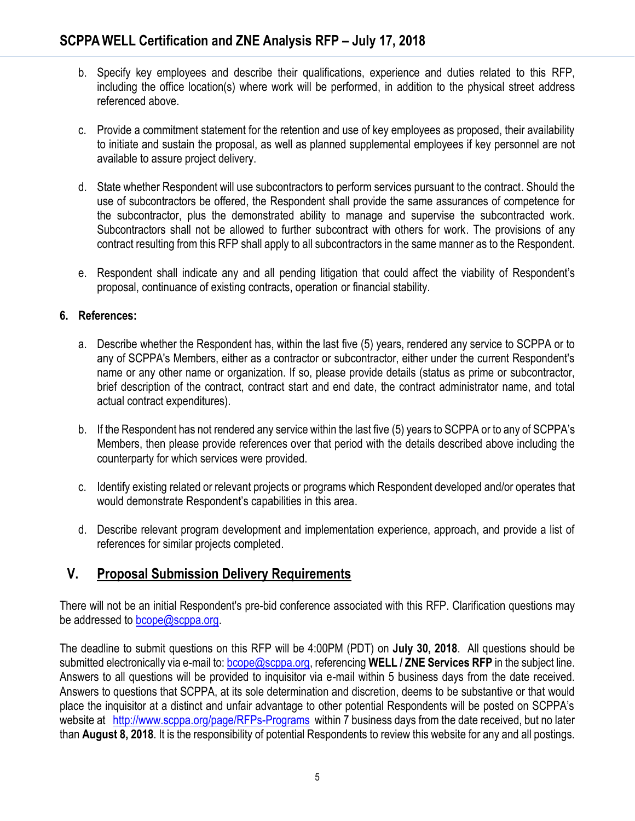- b. Specify key employees and describe their qualifications, experience and duties related to this RFP, including the office location(s) where work will be performed, in addition to the physical street address referenced above.
- c. Provide a commitment statement for the retention and use of key employees as proposed, their availability to initiate and sustain the proposal, as well as planned supplemental employees if key personnel are not available to assure project delivery.
- d. State whether Respondent will use subcontractors to perform services pursuant to the contract. Should the use of subcontractors be offered, the Respondent shall provide the same assurances of competence for the subcontractor, plus the demonstrated ability to manage and supervise the subcontracted work. Subcontractors shall not be allowed to further subcontract with others for work. The provisions of any contract resulting from this RFP shall apply to all subcontractors in the same manner as to the Respondent.
- e. Respondent shall indicate any and all pending litigation that could affect the viability of Respondent's proposal, continuance of existing contracts, operation or financial stability.

### **6. References:**

- a. Describe whether the Respondent has, within the last five (5) years, rendered any service to SCPPA or to any of SCPPA's Members, either as a contractor or subcontractor, either under the current Respondent's name or any other name or organization. If so, please provide details (status as prime or subcontractor, brief description of the contract, contract start and end date, the contract administrator name, and total actual contract expenditures).
- b. If the Respondent has not rendered any service within the last five (5) years to SCPPA or to any of SCPPA's Members, then please provide references over that period with the details described above including the counterparty for which services were provided.
- c. Identify existing related or relevant projects or programs which Respondent developed and/or operates that would demonstrate Respondent's capabilities in this area.
- d. Describe relevant program development and implementation experience, approach, and provide a list of references for similar projects completed.

# **V. Proposal Submission Delivery Requirements**

There will not be an initial Respondent's pre-bid conference associated with this RFP. Clarification questions may be addressed to **bcope@scppa.org**.

The deadline to submit questions on this RFP will be 4:00PM (PDT) on **July 30, 2018**. All questions should be submitted electronically via e-mail to: [bcope@scppa.org,](file://///app-server/data/RFPs_RFQs_RFIs/Public%20Benefits%20Committee/Paperless%20Rebate%20Automation/RFP/bcope@scppa.org) referencing **WELL / ZNE Services RFP** in the subject line. Answers to all questions will be provided to inquisitor via e-mail within 5 business days from the date received. Answers to questions that SCPPA, at its sole determination and discretion, deems to be substantive or that would place the inquisitor at a distinct and unfair advantage to other potential Respondents will be posted on SCPPA's website at <http://www.scppa.org/page/RFPs-Programs>within 7 business days from the date received, but no later than **August 8, 2018**. It is the responsibility of potential Respondents to review this website for any and all postings.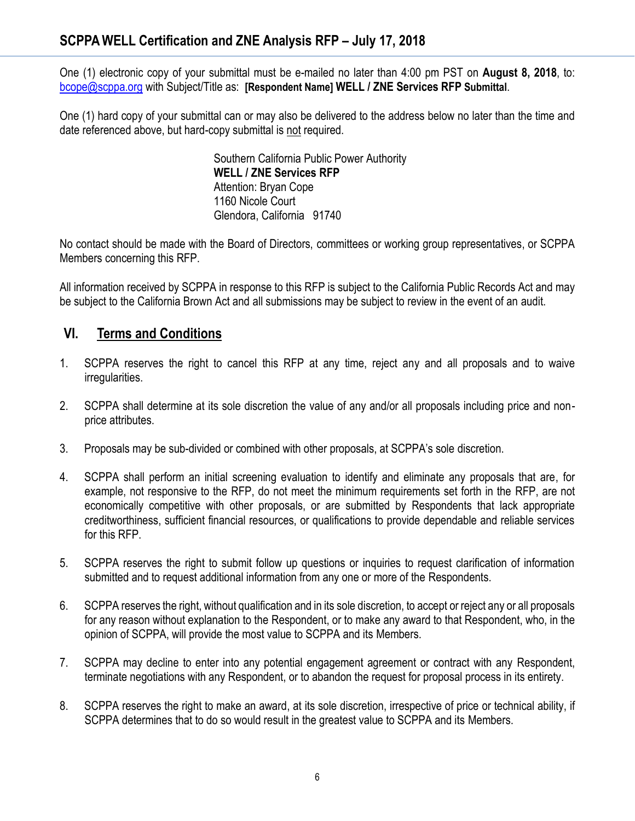One (1) electronic copy of your submittal must be e-mailed no later than 4:00 pm PST on **August 8, 2018**, to: [bcope@scppa.org](mailto:bcope@scppa.org) with Subject/Title as: **[Respondent Name] WELL / ZNE Services RFP Submittal**.

One (1) hard copy of your submittal can or may also be delivered to the address below no later than the time and date referenced above, but hard-copy submittal is not required.

> Southern California Public Power Authority **WELL / ZNE Services RFP** Attention: Bryan Cope 1160 Nicole Court Glendora, California 91740

No contact should be made with the Board of Directors, committees or working group representatives, or SCPPA Members concerning this RFP.

All information received by SCPPA in response to this RFP is subject to the California Public Records Act and may be subject to the California Brown Act and all submissions may be subject to review in the event of an audit.

# **VI. Terms and Conditions**

- 1. SCPPA reserves the right to cancel this RFP at any time, reject any and all proposals and to waive irregularities.
- 2. SCPPA shall determine at its sole discretion the value of any and/or all proposals including price and nonprice attributes.
- 3. Proposals may be sub-divided or combined with other proposals, at SCPPA's sole discretion.
- 4. SCPPA shall perform an initial screening evaluation to identify and eliminate any proposals that are, for example, not responsive to the RFP, do not meet the minimum requirements set forth in the RFP, are not economically competitive with other proposals, or are submitted by Respondents that lack appropriate creditworthiness, sufficient financial resources, or qualifications to provide dependable and reliable services for this RFP.
- 5. SCPPA reserves the right to submit follow up questions or inquiries to request clarification of information submitted and to request additional information from any one or more of the Respondents.
- 6. SCPPA reserves the right, without qualification and in its sole discretion, to accept or reject any or all proposals for any reason without explanation to the Respondent, or to make any award to that Respondent, who, in the opinion of SCPPA, will provide the most value to SCPPA and its Members.
- 7. SCPPA may decline to enter into any potential engagement agreement or contract with any Respondent, terminate negotiations with any Respondent, or to abandon the request for proposal process in its entirety.
- 8. SCPPA reserves the right to make an award, at its sole discretion, irrespective of price or technical ability, if SCPPA determines that to do so would result in the greatest value to SCPPA and its Members.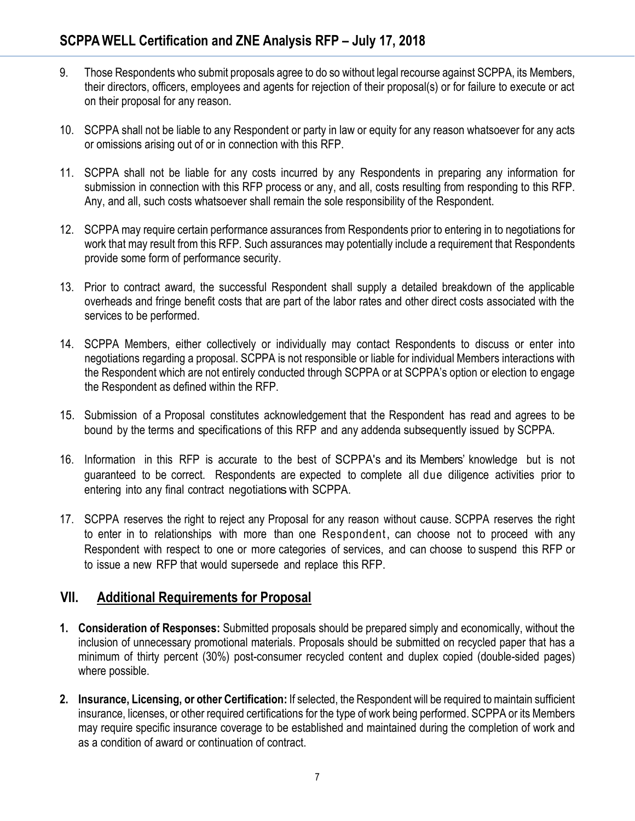- 9. Those Respondents who submit proposals agree to do so without legal recourse against SCPPA, its Members, their directors, officers, employees and agents for rejection of their proposal(s) or for failure to execute or act on their proposal for any reason.
- 10. SCPPA shall not be liable to any Respondent or party in law or equity for any reason whatsoever for any acts or omissions arising out of or in connection with this RFP.
- 11. SCPPA shall not be liable for any costs incurred by any Respondents in preparing any information for submission in connection with this RFP process or any, and all, costs resulting from responding to this RFP. Any, and all, such costs whatsoever shall remain the sole responsibility of the Respondent.
- 12. SCPPA may require certain performance assurances from Respondents prior to entering in to negotiations for work that may result from this RFP. Such assurances may potentially include a requirement that Respondents provide some form of performance security.
- 13. Prior to contract award, the successful Respondent shall supply a detailed breakdown of the applicable overheads and fringe benefit costs that are part of the labor rates and other direct costs associated with the services to be performed.
- 14. SCPPA Members, either collectively or individually may contact Respondents to discuss or enter into negotiations regarding a proposal. SCPPA is not responsible or liable for individual Members interactions with the Respondent which are not entirely conducted through SCPPA or at SCPPA's option or election to engage the Respondent as defined within the RFP.
- 15. Submission of a Proposal constitutes acknowledgement that the Respondent has read and agrees to be bound by the terms and specifications of this RFP and any addenda subsequently issued by SCPPA.
- 16. Information in this RFP is accurate to the best of SCPPA's and its Members' knowledge but is not guaranteed to be correct. Respondents are expected to complete all due diligence activities prior to entering into any final contract negotiations with SCPPA.
- 17. SCPPA reserves the right to reject any Proposal for any reason without cause. SCPPA reserves the right to enter in to relationships with more than one Respondent, can choose not to proceed with any Respondent with respect to one or more categories of services, and can choose to suspend this RFP or to issue a new RFP that would supersede and replace this RFP.

# **VII. Additional Requirements for Proposal**

- **1. Consideration of Responses:** Submitted proposals should be prepared simply and economically, without the inclusion of unnecessary promotional materials. Proposals should be submitted on recycled paper that has a minimum of thirty percent (30%) post-consumer recycled content and duplex copied (double-sided pages) where possible.
- **2. Insurance, Licensing, or other Certification:** If selected, the Respondent will be required to maintain sufficient insurance, licenses, or other required certifications for the type of work being performed. SCPPA or its Members may require specific insurance coverage to be established and maintained during the completion of work and as a condition of award or continuation of contract.